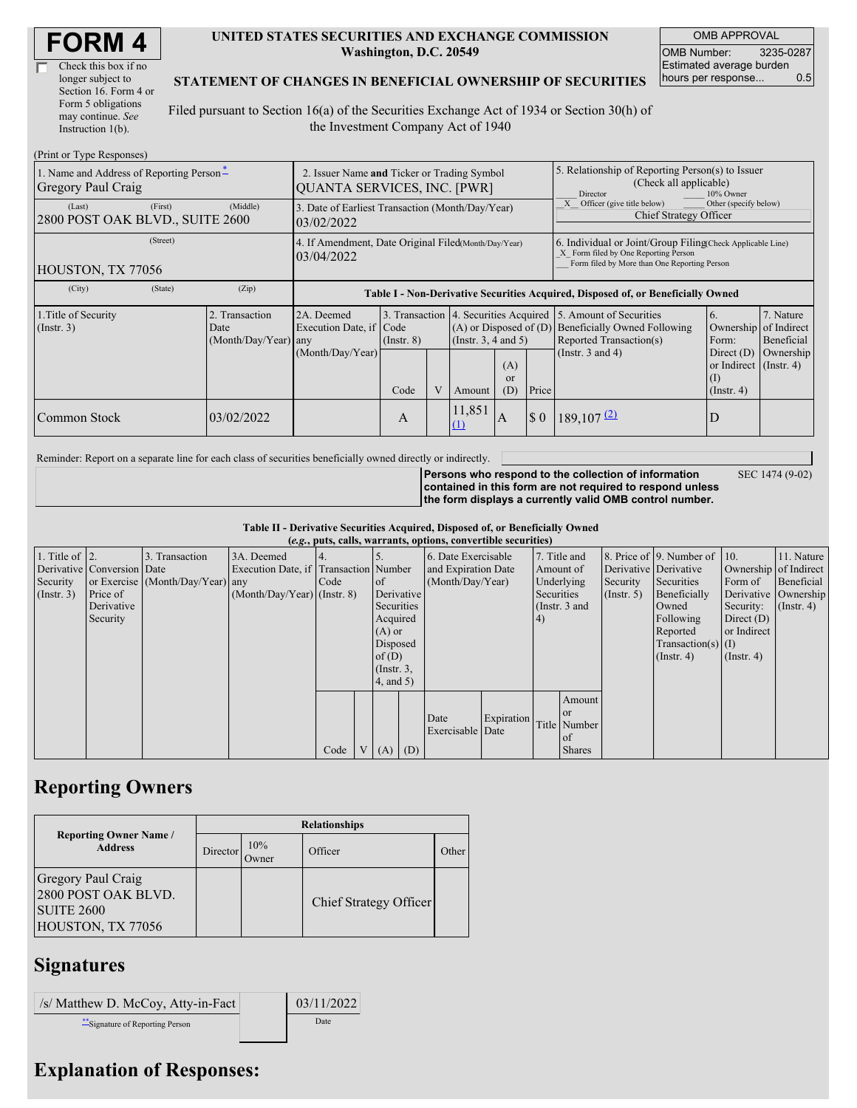| Check this box if no  |
|-----------------------|
| longer subject to     |
| Section 16. Form 4 or |
| Form 5 obligations    |
| may continue. See     |
| Instruction 1(b).     |

#### **UNITED STATES SECURITIES AND EXCHANGE COMMISSION Washington, D.C. 20549**

OMB APPROVAL OMB Number: 3235-0287 Estimated average burden hours per response... 0.5

### **STATEMENT OF CHANGES IN BENEFICIAL OWNERSHIP OF SECURITIES**

Filed pursuant to Section 16(a) of the Securities Exchange Act of 1934 or Section 30(h) of the Investment Company Act of 1940

| (Print or Type Responses)                                      |                                                                                   |                                                                                  |                 |  |                                                                                             |                  |                                                                                                                                                    |                                                                                    |                                                                         |                                        |  |
|----------------------------------------------------------------|-----------------------------------------------------------------------------------|----------------------------------------------------------------------------------|-----------------|--|---------------------------------------------------------------------------------------------|------------------|----------------------------------------------------------------------------------------------------------------------------------------------------|------------------------------------------------------------------------------------|-------------------------------------------------------------------------|----------------------------------------|--|
| 1. Name and Address of Reporting Person*<br>Gregory Paul Craig | 2. Issuer Name and Ticker or Trading Symbol<br><b>QUANTA SERVICES, INC. [PWR]</b> |                                                                                  |                 |  |                                                                                             |                  | 5. Relationship of Reporting Person(s) to Issuer<br>(Check all applicable)<br>Director<br>10% Owner                                                |                                                                                    |                                                                         |                                        |  |
| (First)<br>(Last)<br>2800 POST OAK BLVD., SUITE 2600           | (Middle)                                                                          | 3. Date of Earliest Transaction (Month/Day/Year)<br>03/02/2022                   |                 |  |                                                                                             |                  |                                                                                                                                                    | Other (specify below)<br>Officer (give title below)<br>Chief Strategy Officer      |                                                                         |                                        |  |
| (Street)<br>HOUSTON, TX 77056                                  | 4. If Amendment, Date Original Filed(Month/Day/Year)<br>03/04/2022                |                                                                                  |                 |  |                                                                                             |                  | 6. Individual or Joint/Group Filing Check Applicable Line)<br>X Form filed by One Reporting Person<br>Form filed by More than One Reporting Person |                                                                                    |                                                                         |                                        |  |
| (State)<br>(City)                                              | (Zip)                                                                             | Table I - Non-Derivative Securities Acquired, Disposed of, or Beneficially Owned |                 |  |                                                                                             |                  |                                                                                                                                                    |                                                                                    |                                                                         |                                        |  |
| 1. Title of Security<br>(Insert. 3)                            | 2. Transaction<br>Date<br>$(Month/Day/Year)$ any                                  | 2A. Deemed<br>Execution Date, if Code                                            | $($ Instr. $8)$ |  | 3. Transaction 4. Securities Acquired<br>$(A)$ or Disposed of $(D)$<br>(Insert. 3, 4 and 5) |                  |                                                                                                                                                    | 5. Amount of Securities<br>Beneficially Owned Following<br>Reported Transaction(s) | 6.<br>Ownership<br>Form:                                                | 7. Nature<br>of Indirect<br>Beneficial |  |
|                                                                |                                                                                   | (Month/Day/Year)                                                                 | Code            |  | Amount                                                                                      | (A)<br>or<br>(D) | Price                                                                                                                                              | (Instr. $3$ and $4$ )                                                              | Direct $(D)$<br>or Indirect $($ Instr. 4 $)$<br>(1)<br>$($ Instr. 4 $)$ | Ownership                              |  |
| Common Stock                                                   | 03/02/2022                                                                        |                                                                                  | A               |  | 11,851<br>(1)                                                                               | A                | $\boldsymbol{\mathsf{S}}$ 0                                                                                                                        | $189,107$ <sup>(2)</sup>                                                           |                                                                         |                                        |  |

Reminder: Report on a separate line for each class of securities beneficially owned directly or indirectly.

SEC 1474 (9-02)

**Persons who respond to the collection of information contained in this form are not required to respond unless the form displays a currently valid OMB control number.**

**Table II - Derivative Securities Acquired, Disposed of, or Beneficially Owned**

| (e.g., puts, calls, warrants, options, convertible securities) |                            |                                  |                                       |      |                 |                 |                     |                     |            |            |               |                       |                              |                  |                      |
|----------------------------------------------------------------|----------------------------|----------------------------------|---------------------------------------|------|-----------------|-----------------|---------------------|---------------------|------------|------------|---------------|-----------------------|------------------------------|------------------|----------------------|
| 1. Title of $\vert$ 2.                                         |                            | 3. Transaction                   | 3A. Deemed                            |      |                 |                 |                     | 6. Date Exercisable |            |            | 7. Title and  |                       | 8. Price of 9. Number of 10. |                  | 11. Nature           |
|                                                                | Derivative Conversion Date |                                  | Execution Date, if Transaction Number |      |                 |                 | and Expiration Date |                     | Amount of  |            |               | Derivative Derivative | Ownership of Indirect        |                  |                      |
| Security                                                       |                            | or Exercise (Month/Day/Year) any |                                       | Code |                 | $\circ$ f       |                     | (Month/Day/Year)    |            | Underlying |               | Security              | Securities                   | Form of          | Beneficial           |
| (Insert. 3)                                                    | Price of                   |                                  | $(Month/Day/Year)$ (Instr. 8)         |      |                 |                 | Derivative          |                     |            | Securities |               | $($ Instr. 5 $)$      | Beneficially                 |                  | Derivative Ownership |
|                                                                | Derivative                 |                                  |                                       |      |                 | Securities      |                     |                     |            |            | (Instr. 3 and |                       | Owned                        | Security:        | $($ Instr. 4 $)$     |
|                                                                | Security                   |                                  |                                       |      |                 | Acquired        |                     |                     |            | (4)        |               |                       | Following                    | Direct $(D)$     |                      |
|                                                                |                            |                                  |                                       |      |                 | $(A)$ or        |                     |                     |            |            |               |                       | Reported                     | or Indirect      |                      |
|                                                                |                            |                                  |                                       |      |                 | Disposed        |                     |                     |            |            |               |                       | $Transaction(s)$ (I)         |                  |                      |
|                                                                |                            |                                  |                                       |      |                 | of $(D)$        |                     |                     |            |            |               |                       | $($ Instr. 4)                | $($ Instr. 4 $)$ |                      |
|                                                                |                            |                                  |                                       |      |                 | $($ Instr. $3,$ |                     |                     |            |            |               |                       |                              |                  |                      |
|                                                                |                            |                                  |                                       |      |                 | 4, and 5)       |                     |                     |            |            |               |                       |                              |                  |                      |
|                                                                |                            |                                  |                                       |      |                 |                 |                     |                     |            |            | Amount        |                       |                              |                  |                      |
|                                                                |                            |                                  |                                       |      |                 |                 |                     | Date                | Expiration |            | <b>or</b>     |                       |                              |                  |                      |
|                                                                |                            |                                  |                                       |      |                 |                 |                     | Exercisable Date    |            |            | Title Number  |                       |                              |                  |                      |
|                                                                |                            |                                  |                                       |      |                 |                 |                     |                     |            |            | of            |                       |                              |                  |                      |
|                                                                |                            |                                  |                                       | Code | $V_{\parallel}$ | $(A)$ $(D)$     |                     |                     |            |            | <b>Shares</b> |                       |                              |                  |                      |

# **Reporting Owners**

|                                                                                            | <b>Relationships</b> |              |                        |       |  |  |  |  |  |
|--------------------------------------------------------------------------------------------|----------------------|--------------|------------------------|-------|--|--|--|--|--|
| <b>Reporting Owner Name /</b><br><b>Address</b>                                            | Director             | 10%<br>Owner | Officer                | Other |  |  |  |  |  |
| <b>Gregory Paul Craig</b><br>2800 POST OAK BLVD.<br><b>SUITE 2600</b><br>HOUSTON, TX 77056 |                      |              | Chief Strategy Officer |       |  |  |  |  |  |

# **Signatures**

| /s/ Matthew D. McCoy, Atty-in-Fact | 03/11/2022 |
|------------------------------------|------------|
| ** Signature of Reporting Person   | Date       |

# **Explanation of Responses:**